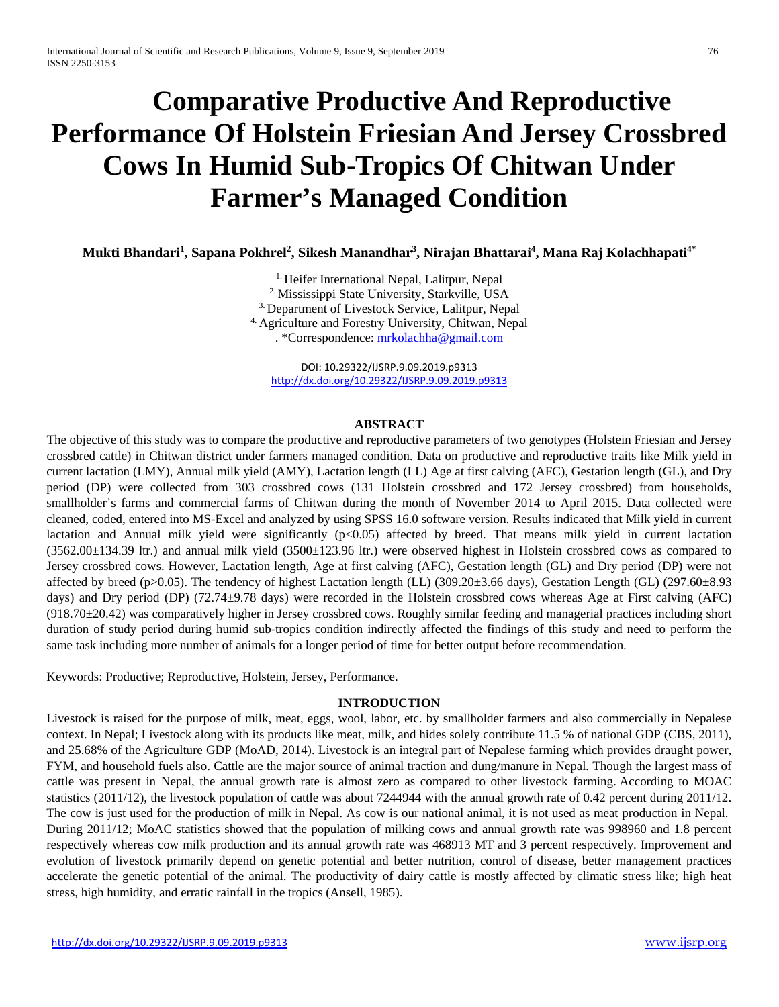# **Comparative Productive And Reproductive Performance Of Holstein Friesian And Jersey Crossbred Cows In Humid Sub-Tropics Of Chitwan Under Farmer's Managed Condition**

**Mukti Bhandari1 , Sapana Pokhrel2 , Sikesh Manandhar3 , Nirajan Bhattarai4 , Mana Raj Kolachhapati4\***

<sup>1.</sup> Heifer International Nepal, Lalitpur, Nepal 2. Mississippi State University, Starkville, USA 3. Department of Livestock Service, Lalitpur, Nepal 4. Agriculture and Forestry University, Chitwan, Nepal . \*Correspondence[: mrkolachha@gmail.com](mailto:mrkolachha@gmail.com)

DOI: 10.29322/IJSRP.9.09.2019.p9313 <http://dx.doi.org/10.29322/IJSRP.9.09.2019.p9313>

#### **ABSTRACT**

The objective of this study was to compare the productive and reproductive parameters of two genotypes (Holstein Friesian and Jersey crossbred cattle) in Chitwan district under farmers managed condition. Data on productive and reproductive traits like Milk yield in current lactation (LMY), Annual milk yield (AMY), Lactation length (LL) Age at first calving (AFC), Gestation length (GL), and Dry period (DP) were collected from 303 crossbred cows (131 Holstein crossbred and 172 Jersey crossbred) from households, smallholder's farms and commercial farms of Chitwan during the month of November 2014 to April 2015. Data collected were cleaned, coded, entered into MS-Excel and analyzed by using SPSS 16.0 software version. Results indicated that Milk yield in current lactation and Annual milk yield were significantly  $(p<0.05)$  affected by breed. That means milk yield in current lactation  $(3562.00\pm134.39)$  ltr.) and annual milk yield  $(3500\pm123.96)$  ltr.) were observed highest in Holstein crossbred cows as compared to Jersey crossbred cows. However, Lactation length, Age at first calving (AFC), Gestation length (GL) and Dry period (DP) were not affected by breed (p>0.05). The tendency of highest Lactation length (LL)  $(309.20\pm3.66 \text{ days})$ , Gestation Length (GL)  $(297.60\pm8.93$ days) and Dry period (DP) (72.74±9.78 days) were recorded in the Holstein crossbred cows whereas Age at First calving (AFC)  $(918.70\pm20.42)$  was comparatively higher in Jersey crossbred cows. Roughly similar feeding and managerial practices including short duration of study period during humid sub-tropics condition indirectly affected the findings of this study and need to perform the same task including more number of animals for a longer period of time for better output before recommendation.

Keywords: Productive; Reproductive, Holstein, Jersey, Performance.

## **INTRODUCTION**

Livestock is raised for the purpose of milk, meat, eggs, wool, labor, etc. by smallholder farmers and also commercially in Nepalese context. In Nepal; Livestock along with its products like meat, milk, and hides solely contribute 11.5 % of national GDP (CBS, 2011), and 25.68% of the Agriculture GDP (MoAD, 2014). Livestock is an integral part of Nepalese farming which provides draught power, FYM, and household fuels also. Cattle are the major source of animal traction and dung/manure in Nepal. Though the largest mass of cattle was present in Nepal, the annual growth rate is almost zero as compared to other livestock farming. According to MOAC statistics (2011/12), the livestock population of cattle was about 7244944 with the annual growth rate of 0.42 percent during 2011/12. The cow is just used for the production of milk in Nepal. As cow is our national animal, it is not used as meat production in Nepal. During 2011/12; MoAC statistics showed that the population of milking cows and annual growth rate was 998960 and 1.8 percent respectively whereas cow milk production and its annual growth rate was 468913 MT and 3 percent respectively. Improvement and evolution of livestock primarily depend on genetic potential and better nutrition, control of disease, better management practices accelerate the genetic potential of the animal. The productivity of dairy cattle is mostly affected by climatic stress like; high heat stress, high humidity, and erratic rainfall in the tropics (Ansell, 1985).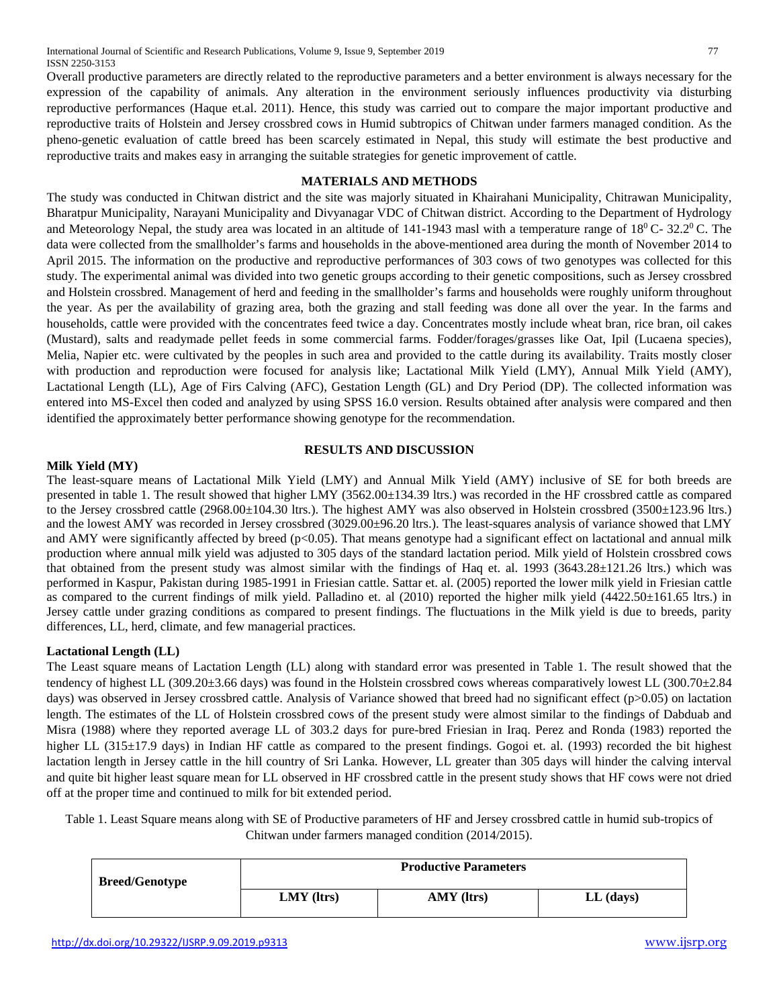International Journal of Scientific and Research Publications, Volume 9, Issue 9, September 2019 77 ISSN 2250-3153

Overall productive parameters are directly related to the reproductive parameters and a better environment is always necessary for the expression of the capability of animals. Any alteration in the environment seriously influences productivity via disturbing reproductive performances (Haque et.al. 2011). Hence, this study was carried out to compare the major important productive and reproductive traits of Holstein and Jersey crossbred cows in Humid subtropics of Chitwan under farmers managed condition. As the pheno-genetic evaluation of cattle breed has been scarcely estimated in Nepal, this study will estimate the best productive and reproductive traits and makes easy in arranging the suitable strategies for genetic improvement of cattle.

## **MATERIALS AND METHODS**

The study was conducted in Chitwan district and the site was majorly situated in Khairahani Municipality, Chitrawan Municipality, Bharatpur Municipality, Narayani Municipality and Divyanagar VDC of Chitwan district. According to the Department of Hydrology and Meteorology Nepal, the study area was located in an altitude of 141-1943 masl with a temperature range of  $18^{\circ}$  C- 32.2<sup>0</sup> C. The data were collected from the smallholder's farms and households in the above-mentioned area during the month of November 2014 to April 2015. The information on the productive and reproductive performances of 303 cows of two genotypes was collected for this study. The experimental animal was divided into two genetic groups according to their genetic compositions, such as Jersey crossbred and Holstein crossbred. Management of herd and feeding in the smallholder's farms and households were roughly uniform throughout the year. As per the availability of grazing area, both the grazing and stall feeding was done all over the year. In the farms and households, cattle were provided with the concentrates feed twice a day. Concentrates mostly include wheat bran, rice bran, oil cakes (Mustard), salts and readymade pellet feeds in some commercial farms. Fodder/forages/grasses like Oat, Ipil (Lucaena species), Melia, Napier etc. were cultivated by the peoples in such area and provided to the cattle during its availability. Traits mostly closer with production and reproduction were focused for analysis like; Lactational Milk Yield (LMY), Annual Milk Yield (AMY), Lactational Length (LL), Age of Firs Calving (AFC), Gestation Length (GL) and Dry Period (DP). The collected information was entered into MS-Excel then coded and analyzed by using SPSS 16.0 version. Results obtained after analysis were compared and then identified the approximately better performance showing genotype for the recommendation.

#### **RESULTS AND DISCUSSION**

## **Milk Yield (MY)**

The least-square means of Lactational Milk Yield (LMY) and Annual Milk Yield (AMY) inclusive of SE for both breeds are presented in table 1. The result showed that higher LMY (3562.00±134.39 ltrs.) was recorded in the HF crossbred cattle as compared to the Jersey crossbred cattle (2968.00±104.30 ltrs.). The highest AMY was also observed in Holstein crossbred (3500±123.96 ltrs.) and the lowest AMY was recorded in Jersey crossbred (3029.00±96.20 ltrs.). The least-squares analysis of variance showed that LMY and AMY were significantly affected by breed ( $p<0.05$ ). That means genotype had a significant effect on lactational and annual milk production where annual milk yield was adjusted to 305 days of the standard lactation period. Milk yield of Holstein crossbred cows that obtained from the present study was almost similar with the findings of Haq et. al. 1993 (3643.28±121.26 ltrs.) which was performed in Kaspur, Pakistan during 1985-1991 in Friesian cattle. Sattar et. al. (2005) reported the lower milk yield in Friesian cattle as compared to the current findings of milk yield. Palladino et. al (2010) reported the higher milk yield (4422.50±161.65 ltrs.) in Jersey cattle under grazing conditions as compared to present findings. The fluctuations in the Milk yield is due to breeds, parity differences, LL, herd, climate, and few managerial practices.

## **Lactational Length (LL)**

The Least square means of Lactation Length (LL) along with standard error was presented in Table 1. The result showed that the tendency of highest LL (309.20±3.66 days) was found in the Holstein crossbred cows whereas comparatively lowest LL (300.70±2.84 days) was observed in Jersey crossbred cattle. Analysis of Variance showed that breed had no significant effect (p>0.05) on lactation length. The estimates of the LL of Holstein crossbred cows of the present study were almost similar to the findings of Dabduab and Misra (1988) where they reported average LL of 303.2 days for pure-bred Friesian in Iraq. Perez and Ronda (1983) reported the higher LL (315±17.9 days) in Indian HF cattle as compared to the present findings. Gogoi et. al. (1993) recorded the bit highest lactation length in Jersey cattle in the hill country of Sri Lanka. However, LL greater than 305 days will hinder the calving interval and quite bit higher least square mean for LL observed in HF crossbred cattle in the present study shows that HF cows were not dried off at the proper time and continued to milk for bit extended period.

Table 1. Least Square means along with SE of Productive parameters of HF and Jersey crossbred cattle in humid sub-tropics of Chitwan under farmers managed condition (2014/2015).

| <b>Breed/Genotype</b> | <b>Productive Parameters</b> |            |             |
|-----------------------|------------------------------|------------|-------------|
|                       | $LMY$ ( $ltrs$ )             | AMY (ltrs) | $LL$ (days) |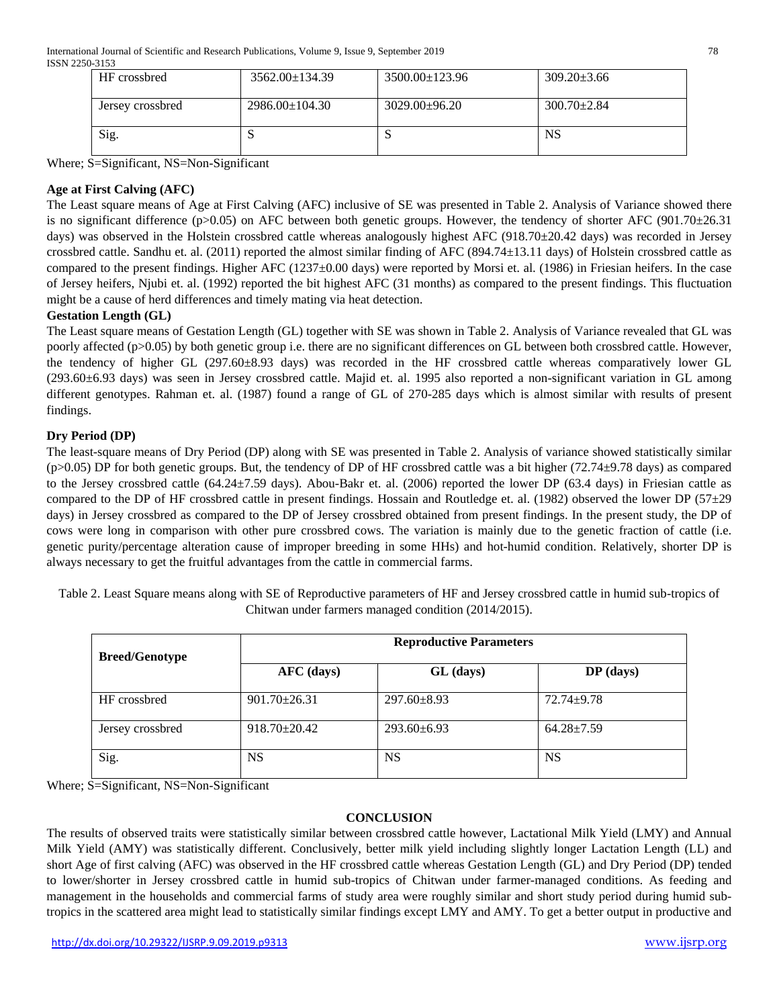| <u>.</u>         |                      |                      |                   |  |
|------------------|----------------------|----------------------|-------------------|--|
| HF crossbred     | $3562.00 \pm 134.39$ | $3500.00 \pm 123.96$ | $309.20 \pm 3.66$ |  |
| Jersey crossbred | $2986.00 \pm 104.30$ | $3029.00+96.20$      | $300.70 \pm 2.84$ |  |
| Sig.             | N                    | N                    | <b>NS</b>         |  |

Where; S=Significant, NS=Non-Significant

# **Age at First Calving (AFC)**

The Least square means of Age at First Calving (AFC) inclusive of SE was presented in Table 2. Analysis of Variance showed there is no significant difference ( $p>0.05$ ) on AFC between both genetic groups. However, the tendency of shorter AFC ( $901.70\pm26.31$ ) days) was observed in the Holstein crossbred cattle whereas analogously highest AFC (918.70±20.42 days) was recorded in Jersey crossbred cattle. Sandhu et. al. (2011) reported the almost similar finding of AFC (894.74±13.11 days) of Holstein crossbred cattle as compared to the present findings. Higher AFC (1237±0.00 days) were reported by Morsi et. al. (1986) in Friesian heifers. In the case of Jersey heifers, Njubi et. al. (1992) reported the bit highest AFC (31 months) as compared to the present findings. This fluctuation might be a cause of herd differences and timely mating via heat detection.

## **Gestation Length (GL)**

The Least square means of Gestation Length (GL) together with SE was shown in Table 2. Analysis of Variance revealed that GL was poorly affected (p>0.05) by both genetic group i.e. there are no significant differences on GL between both crossbred cattle. However, the tendency of higher GL (297.60±8.93 days) was recorded in the HF crossbred cattle whereas comparatively lower GL (293.60±6.93 days) was seen in Jersey crossbred cattle. Majid et. al. 1995 also reported a non-significant variation in GL among different genotypes. Rahman et. al. (1987) found a range of GL of 270-285 days which is almost similar with results of present findings.

## **Dry Period (DP)**

The least-square means of Dry Period (DP) along with SE was presented in Table 2. Analysis of variance showed statistically similar (p>0.05) DP for both genetic groups. But, the tendency of DP of HF crossbred cattle was a bit higher (72.74±9.78 days) as compared to the Jersey crossbred cattle (64.24±7.59 days). Abou-Bakr et. al. (2006) reported the lower DP (63.4 days) in Friesian cattle as compared to the DP of HF crossbred cattle in present findings. Hossain and Routledge et. al. (1982) observed the lower DP (57 $\pm$ 29 days) in Jersey crossbred as compared to the DP of Jersey crossbred obtained from present findings. In the present study, the DP of cows were long in comparison with other pure crossbred cows. The variation is mainly due to the genetic fraction of cattle (i.e. genetic purity/percentage alteration cause of improper breeding in some HHs) and hot-humid condition. Relatively, shorter DP is always necessary to get the fruitful advantages from the cattle in commercial farms.

Table 2. Least Square means along with SE of Reproductive parameters of HF and Jersey crossbred cattle in humid sub-tropics of Chitwan under farmers managed condition (2014/2015).

| <b>Breed/Genotype</b> | <b>Reproductive Parameters</b> |                   |                  |  |
|-----------------------|--------------------------------|-------------------|------------------|--|
|                       | AFC (days)                     | GL (days)         | $DP$ (days)      |  |
| HF crossbred          | $901.70 \pm 26.31$             | $297.60 \pm 8.93$ | $72.74 + 9.78$   |  |
| Jersey crossbred      | $918.70 \pm 20.42$             | $293.60 \pm 6.93$ | $64.28 \pm 7.59$ |  |
| Sig.                  | <b>NS</b>                      | <b>NS</b>         | <b>NS</b>        |  |

Where; S=Significant, NS=Non-Significant

## **CONCLUSION**

The results of observed traits were statistically similar between crossbred cattle however, Lactational Milk Yield (LMY) and Annual Milk Yield (AMY) was statistically different. Conclusively, better milk yield including slightly longer Lactation Length (LL) and short Age of first calving (AFC) was observed in the HF crossbred cattle whereas Gestation Length (GL) and Dry Period (DP) tended to lower/shorter in Jersey crossbred cattle in humid sub-tropics of Chitwan under farmer-managed conditions. As feeding and management in the households and commercial farms of study area were roughly similar and short study period during humid subtropics in the scattered area might lead to statistically similar findings except LMY and AMY. To get a better output in productive and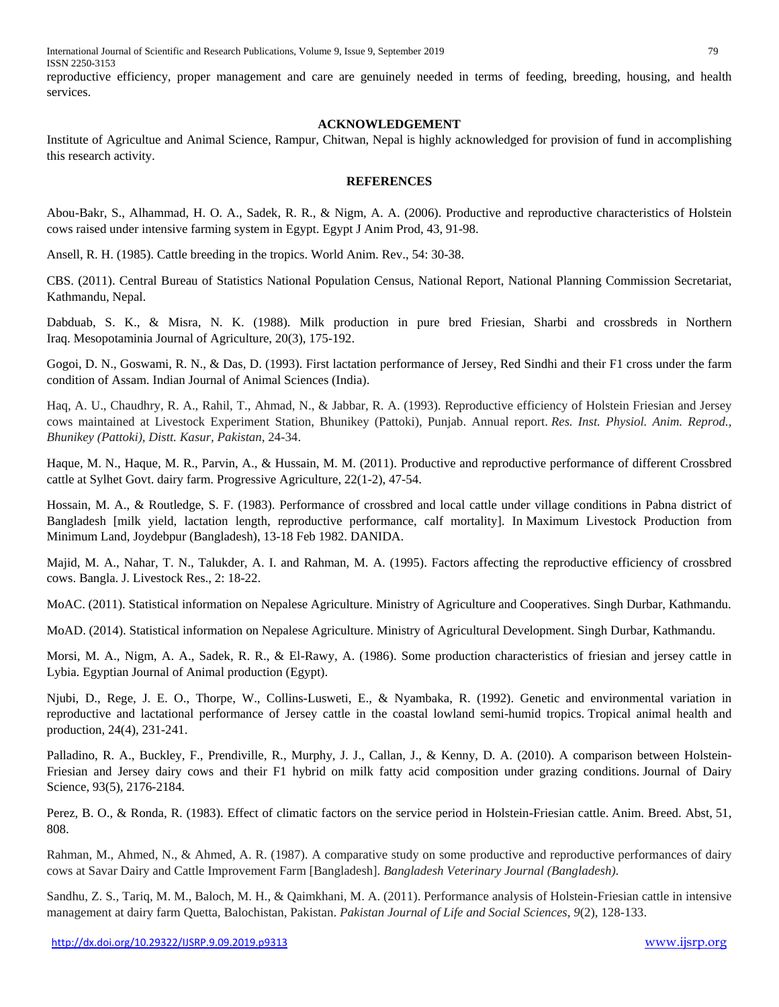reproductive efficiency, proper management and care are genuinely needed in terms of feeding, breeding, housing, and health services.

## **ACKNOWLEDGEMENT**

Institute of Agricultue and Animal Science, Rampur, Chitwan, Nepal is highly acknowledged for provision of fund in accomplishing this research activity.

## **REFERENCES**

Abou-Bakr, S., Alhammad, H. O. A., Sadek, R. R., & Nigm, A. A. (2006). Productive and reproductive characteristics of Holstein cows raised under intensive farming system in Egypt. Egypt J Anim Prod, 43, 91-98.

Ansell, R. H. (1985). Cattle breeding in the tropics. World Anim. Rev., 54: 30-38.

CBS. (2011). Central Bureau of Statistics National Population Census, National Report, National Planning Commission Secretariat, Kathmandu, Nepal.

Dabduab, S. K., & Misra, N. K. (1988). Milk production in pure bred Friesian, Sharbi and crossbreds in Northern Iraq. Mesopotaminia Journal of Agriculture, 20(3), 175-192.

Gogoi, D. N., Goswami, R. N., & Das, D. (1993). First lactation performance of Jersey, Red Sindhi and their F1 cross under the farm condition of Assam. Indian Journal of Animal Sciences (India).

Haq, A. U., Chaudhry, R. A., Rahil, T., Ahmad, N., & Jabbar, R. A. (1993). Reproductive efficiency of Holstein Friesian and Jersey cows maintained at Livestock Experiment Station, Bhunikey (Pattoki), Punjab. Annual report. *Res. Inst. Physiol. Anim. Reprod., Bhunikey (Pattoki), Distt. Kasur, Pakistan*, 24-34.

Haque, M. N., Haque, M. R., Parvin, A., & Hussain, M. M. (2011). Productive and reproductive performance of different Crossbred cattle at Sylhet Govt. dairy farm. Progressive Agriculture, 22(1-2), 47-54.

Hossain, M. A., & Routledge, S. F. (1983). Performance of crossbred and local cattle under village conditions in Pabna district of Bangladesh [milk yield, lactation length, reproductive performance, calf mortality]. In Maximum Livestock Production from Minimum Land, Joydebpur (Bangladesh), 13-18 Feb 1982. DANIDA.

Majid, M. A., Nahar, T. N., Talukder, A. I. and Rahman, M. A. (1995). Factors affecting the reproductive efficiency of crossbred cows. Bangla. J. Livestock Res., 2: 18-22.

MoAC. (2011). Statistical information on Nepalese Agriculture. Ministry of Agriculture and Cooperatives. Singh Durbar, Kathmandu.

MoAD. (2014). Statistical information on Nepalese Agriculture. Ministry of Agricultural Development. Singh Durbar, Kathmandu.

Morsi, M. A., Nigm, A. A., Sadek, R. R., & El-Rawy, A. (1986). Some production characteristics of friesian and jersey cattle in Lybia. Egyptian Journal of Animal production (Egypt).

Njubi, D., Rege, J. E. O., Thorpe, W., Collins-Lusweti, E., & Nyambaka, R. (1992). Genetic and environmental variation in reproductive and lactational performance of Jersey cattle in the coastal lowland semi-humid tropics. Tropical animal health and production, 24(4), 231-241.

Palladino, R. A., Buckley, F., Prendiville, R., Murphy, J. J., Callan, J., & Kenny, D. A. (2010). A comparison between Holstein-Friesian and Jersey dairy cows and their F1 hybrid on milk fatty acid composition under grazing conditions. Journal of Dairy Science, 93(5), 2176-2184.

Perez, B. O., & Ronda, R. (1983). Effect of climatic factors on the service period in Holstein-Friesian cattle. Anim. Breed. Abst, 51, 808.

Rahman, M., Ahmed, N., & Ahmed, A. R. (1987). A comparative study on some productive and reproductive performances of dairy cows at Savar Dairy and Cattle Improvement Farm [Bangladesh]. *Bangladesh Veterinary Journal (Bangladesh)*.

Sandhu, Z. S., Tariq, M. M., Baloch, M. H., & Qaimkhani, M. A. (2011). Performance analysis of Holstein-Friesian cattle in intensive management at dairy farm Quetta, Balochistan, Pakistan. *Pakistan Journal of Life and Social Sciences*, *9*(2), 128-133.